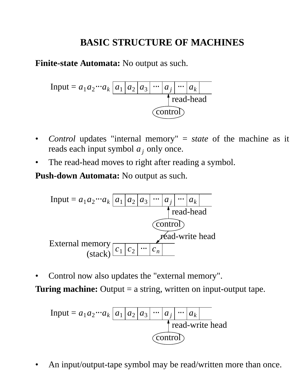# **BASIC STRUCTURE OF MACHINES**

**Finite-state Automata:** No output as such.

Input = 
$$
a_1 a_2 \cdots a_k \underbrace{a_1 \underbrace{a_2 \underbrace{a_3 \cdots a_j \cdots a_k}}_{\text{read-head}}
$$

- *Control* updates "internal memory" = *state* of the machine as it reads each input symbol  $a_j$  only once.
- The read-head moves to right after reading a symbol.

**Push-down Automata:** No output as such.



• Control now also updates the "external memory".

**Turing machine:** Output = a string, written on input-output tape.

Input = 
$$
a_1 a_2 \cdots a_k \underbrace{a_1 \underbrace{a_2 \underbrace{a_3 \cdots a_j \cdots a_k}}_{\text{read-write head}}
$$

• An input/output-tape symbol may be read/written more than once.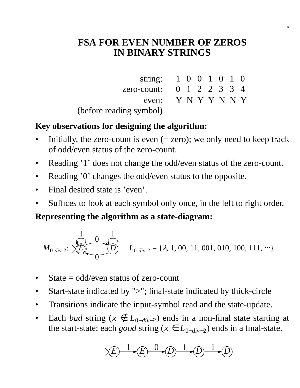## **FSA FOR EVEN NUMBER OF ZEROS IN BINARY STRINGS**

| string: $1 \ 0 \ 0 \ 1 \ 0 \ 1 \ 0$     |  |  |  |  |
|-----------------------------------------|--|--|--|--|
| zero-count: $0 \t1 \t2 \t2 \t3 \t3 \t4$ |  |  |  |  |
| even: $Y N Y N N Y$                     |  |  |  |  |
| (before reading symbol)                 |  |  |  |  |

### **Key observations for designing the algorithm:**

- Initially, the zero-count is even  $(=$  zero); we only need to keep track of odd/even status of the zero-count.
- Reading '1' does not change the odd/even status of the zero-count.
- Reading '0' changes the odd/even status to the opposite.
- Final desired state is 'even'.
- Suffices to look at each symbol only once, in the left to right order.

#### **Representing the algorithm as a state-diagram:**

$$
M_{0-div-2}: \bigotimes_{i=0}^{n} \bigotimes_{i=0}^{n} L_{0-div-2} = \{\lambda, 1, 00, 11, 001, 010, 100, 111, \cdots\}
$$

- State  $=$  odd/even status of zero-count
- Start-state indicated by ">"; final-state indicated by thick-circle
- Transitions indicate the input-symbol read and the state-update.
- Each *bad* string ( $x \notin L_{0-div-2}$ ) ends in a non-final state starting at the start-state; each *good* string ( $x \text{ ∈ } L_{0-div-2}$ ) ends in a final-state.

$$
\times E \xrightarrow{1} E \xrightarrow{0} 0 \xrightarrow{1} D \xrightarrow{1} 0
$$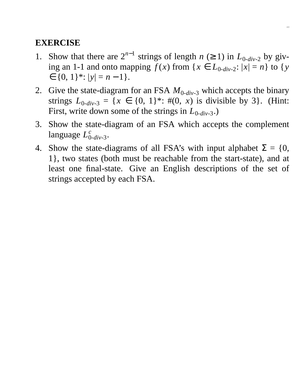- 1. Show that there are  $2^{n-1}$  strings of length *n* (≥ 1) in  $L_{0-div-2}$  by giving an 1-1 and onto mapping  $f(x)$  from  $\{x \in L_{0-div-2}: |x| = n\}$  to  $\{y\}$  $\in \{0, 1\}^*$ :  $|y| = n - 1$ .
- 2. Give the state-diagram for an FSA  $M_{0-div-3}$  which accepts the binary strings  $L_{0-div-3} = \{x \in \{0, 1\}^* : \#(0, x) \text{ is divisible by 3}\}.$  (Hint: First, write down some of the strings in  $L_{0-div-3}$ .)
- 3. Show the state-diagram of an FSA which accepts the complement language *L c* 0-*div*-3.
- 4. Show the state-diagrams of all FSA's with input alphabet  $\Sigma = \{0,$ 1}, two states (both must be reachable from the start-state), and at least one final-state. Give an English descriptions of the set of strings accepted by each FSA.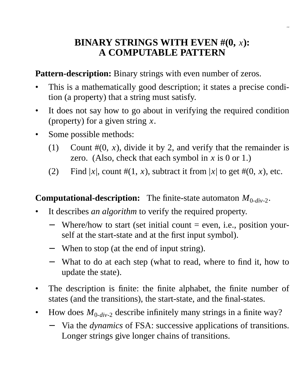## **BINARY STRINGS WITH EVEN #(0,** *x***): A COMPUTABLE PATTERN**

2.4

**Pattern-description:** Binary strings with even number of zeros.

- This is a mathematically good description; it states a precise condition (a property) that a string must satisfy.
- It does not say how to go about in verifying the required condition (property) for a given string *x*.
- Some possible methods:
	- (1) Count  $\#(0, x)$ , divide it by 2, and verify that the remainder is zero. (Also, check that each symbol in  $x$  is 0 or 1.)
	- (2) Find  $|x|$ , count  $\#(1, x)$ , subtract it from  $|x|$  to get  $\#(0, x)$ , etc.

## **Computational-description:** The finite-state automaton  $M_{0-div-2}$ .

- It describes *an algorithm* to verify the required property.
	- Where/how to start (set initial count  $=$  even, i.e., position yourself at the start-state and at the first input symbol).
	- − When to stop (at the end of input string).
	- − What to do at each step (what to read, where to find it, how to update the state).
- The description is finite: the finite alphabet, the finite number of states (and the transitions), the start-state, and the final-states.
- How does  $M_{0-div-2}$  describe infinitely many strings in a finite way?
	- − Via the *dynamics* of FSA: successive applications of transitions. Longer strings give longer chains of transitions.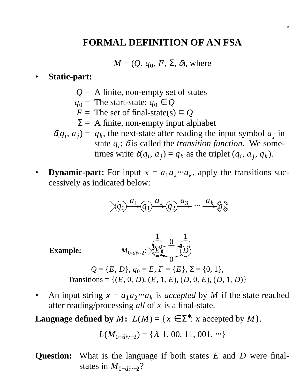### **FORMAL DEFINITION OF AN FSA**

2.5

 $M = (Q, q_0, F, \Sigma, \delta)$ , where

#### • **Static-part:**

- *Q* = A finite, non-empty set of states
- $q_0$  = The start-state;  $q_0 \in Q$
- *F* = The set of final-state(s)  $\subseteq$  *Q*
- $\Sigma = A$  finite, non-empty input alphabet
- $\delta(q_i, a_j) = q_k$ , the next-state after reading the input symbol  $a_j$  in state  $q_i$ ;  $\delta$  is called the *transition function*. We sometimes write  $\delta(q_i, a_j) = q_k$  as the triplet  $(q_i, a_j, q_k)$ .
- **Dynamic-part:** For input  $x = a_1 a_2 \cdots a_k$ , apply the transitions successively as indicated below:

$$
\sqrt{q_0} \xrightarrow{a_1} \boxed{q_1} \xrightarrow{a_2} \boxed{q_2} \xrightarrow{a_3} \cdots \xrightarrow{a_k} \boxed{a_k}
$$

 $Example:$ 

$$
M_{0-div-2}: \sqrt{\frac{1}{E}} \sqrt{\frac{0}{D}}
$$
  
D)  $a_2 = E E = |E|$ 

- $Q = \{E, D\}, q_0 = E, F = \{E\}, \Sigma = \{0, 1\},\$ Transitions = {(*E*, 0, *D*), (*E*, 1, *E*), (*D*, 0, *E*), (*D*, 1, *D*)}
- An input string  $x = a_1 a_2 \cdots a_k$  is *accepted* by *M* if the state reached after reading/processing *all* of *x* is a final-state.

**Language defined by** *M***:**  $L(M) = \{x \in \Sigma^* : x \text{ accepted by } M\}.$ 

$$
L(M_{0-div-2}) = \{\lambda, 1, 00, 11, 001, \cdots\}
$$

**Question:** What is the language if both states *E* and *D* were finalstates in  $M_{0-div-2}$ ?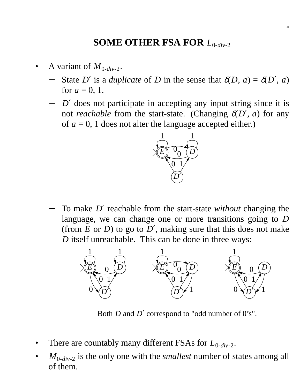## **SOME OTHER FSA FOR** *L*0-*div*-2

2.6

- A variant of  $M_{0-div-2}$ .
	- State *D'* is a *duplicate* of *D* in the sense that  $\delta(D, a) = \delta(D', a)$ for  $a = 0, 1$ .
	- − *D'* does not participate in accepting any input string since it is not *reachable* from the start-state. (Changing  $\delta(D', a)$  for any of  $a = 0$ , 1 does not alter the language accepted either.)



− To make *D*′ reachable from the start-state *without* changing the language, we can change one or more transitions going to *D* (from  $E$  or  $D$ ) to go to  $D'$ , making sure that this does not make *D* itself unreachable. This can be done in three ways:



Both *D* and *D*′ correspond to "odd number of 0's".

- There are countably many different FSAs for  $L_{0-div-2}$ .
- $M_{0-div-2}$  is the only one with the *smallest* number of states among all of them.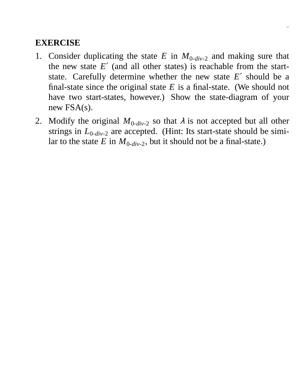- 1. Consider duplicating the state  $E$  in  $M_{0-div-2}$  and making sure that the new state  $E'$  (and all other states) is reachable from the startstate. Carefully determine whether the new state *E*′ should be a final-state since the original state  $E$  is a final-state. (We should not have two start-states, however.) Show the state-diagram of your new FSA(s).
- 2. Modify the original  $M_{0-div-2}$  so that  $\lambda$  is not accepted but all other strings in  $L_{0-div-2}$  are accepted. (Hint: Its start-state should be similar to the state *E* in  $M_{0-div-2}$ , but it should not be a final-state.)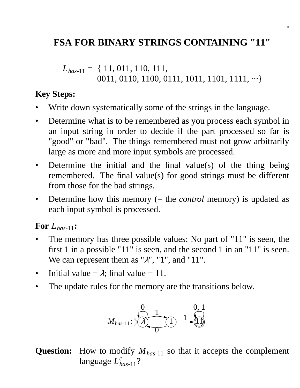## **FSA FOR BINARY STRINGS CONTAINING "11"**

*Lhas*-11 = { 11, 011, 110, 111, 0011, 0110, 1100, 0111, 1011, 1101, 1111, ⋅⋅⋅}

### **Key Steps:**

- Write down systematically some of the strings in the language.
- Determine what is to be remembered as you process each symbol in an input string in order to decide if the part processed so far is "good" or "bad". The things remembered must not grow arbitrarily large as more and more input symbols are processed.
- Determine the initial and the final value(s) of the thing being remembered. The final value(s) for good strings must be different from those for the bad strings.
- Determine how this memory (= the *control* memory) is updated as each input symbol is processed.

#### **For** *Lhas*-11**:**

- The memory has three possible values: No part of "11" is seen, the first 1 in a possible "11" is seen, and the second 1 in an "11" is seen. We can represent them as " $\lambda$ ", "1", and "11".
- Initial value  $= \lambda$ ; final value  $= 11$ .
- The update rules for the memory are the transitions below.



## **Question:** How to modify *Mhas*-11 so that it accepts the complement language  $L_{has-11}^c$ ?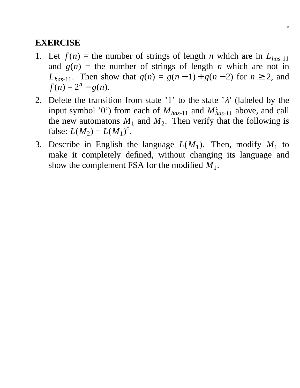1. Let  $f(n)$  = the number of strings of length *n* which are in  $L_{has-11}$ and  $g(n)$  = the number of strings of length *n* which are not in *L*<sub>has-11</sub>. Then show that *g*(*n*) = *g*(*n* − 1) + *g*(*n* − 2) for *n* ≥ 2, and  $f(n) = 2^n - g(n).$ 

2.9

- 2. Delete the transition from state '1' to the state ' $\lambda$ ' (labeled by the input symbol '0') from each of  $M_{has-11}$  and  $M_{has-11}^c$  above, and call the new automatons  $M_1$  and  $M_2$ . Then verify that the following is false:  $L(M_2) = L(M_1)^c$ .
- 3. Describe in English the language  $L(M_1)$ . Then, modify  $M_1$  to make it completely defined, without changing its language and show the complement FSA for the modified  $M_1$ .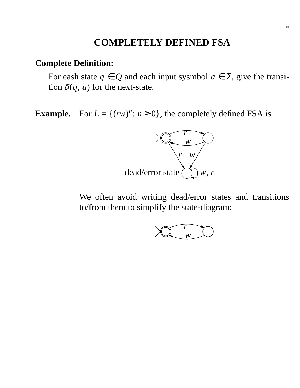## **COMPLETELY DEFINED FSA**

### **Complete Definition:**

For eash state  $q \in Q$  and each input sysmbol  $a \in \Sigma$ , give the transition  $\delta(q, a)$  for the next-state.

**Example.** For  $L = \{(rw)^n : n \ge 0\}$ , the completely defined FSA is



We often avoid writing dead/error states and transitions to/from them to simplify the state-diagram:

$$
\sum_{w} \frac{r}{w}
$$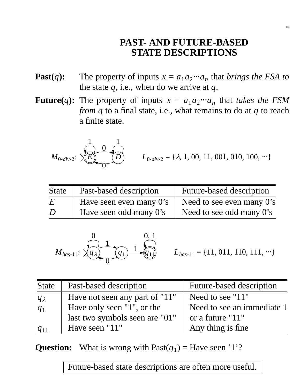## **PAST- AND FUTURE-BASED STATE DESCRIPTIONS**

2.11

- **Past**(*q*): The property of inputs  $x = a_1 a_2 \cdots a_n$  that *brings the FSA to* the state *q*, i.e., when do we arrive at *q*.
- **Future**(*q*): The property of inputs  $x = a_1 a_2 \cdots a_n$  that *takes the FSM from q* to a final state, i.e., what remains to do at *q* to reach a finite state.

$$
M_{0-div-2}: \bigtimes \stackrel{1}{\underbrace{E}} \stackrel{0}{\underbrace{O}} \longrightarrow \stackrel{1}{\underbrace{O}} \qquad L_{0-div-2} = \{\lambda, 1, 00, 11, 001, 010, 100, \cdots\}
$$

| <b>State</b> | Past-based description     | <b>Future-based description</b> |
|--------------|----------------------------|---------------------------------|
| E            | Have seen even many $0$ 's | Need to see even many 0's       |
| D            | Have seen odd many 0's     | Need to see odd many 0's        |

$$
M_{has-11}: \ \ \times \ \ \begin{matrix}0&0,1\\ q_{\lambda}\\ 0&0\end{matrix}
$$

 $L_{has-11} = \{11, 011, 110, 111, \dots\}$ 

| <b>State</b>  | Past-based description         | <b>Future-based description</b> |
|---------------|--------------------------------|---------------------------------|
| $q_{\lambda}$ | Have not seen any part of "11" | Need to see "11"                |
| $q_1$         | Have only seen "1", or the     | Need to see an immediate 1      |
|               | last two symbols seen are "01" | or a future "11"                |
| $q_{11}$      | Have seen "11"                 | Any thing is fine               |

**Question:** What is wrong with  $\text{Fast}(q_1) = \text{Have seen '1''}$ ?

Future-based state descriptions are often more useful.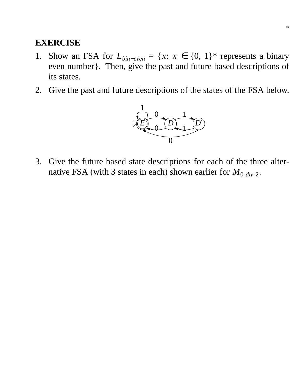- 1. Show an FSA for  $L_{bin-even} = \{x: x \in \{0, 1\}^*$  represents a binary even number}. Then, give the past and future based descriptions of its states.
- 2. Give the past and future descriptions of the states of the FSA below.



3. Give the future based state descriptions for each of the three alternative FSA (with 3 states in each) shown earlier for  $M_{0-div-2}$ .